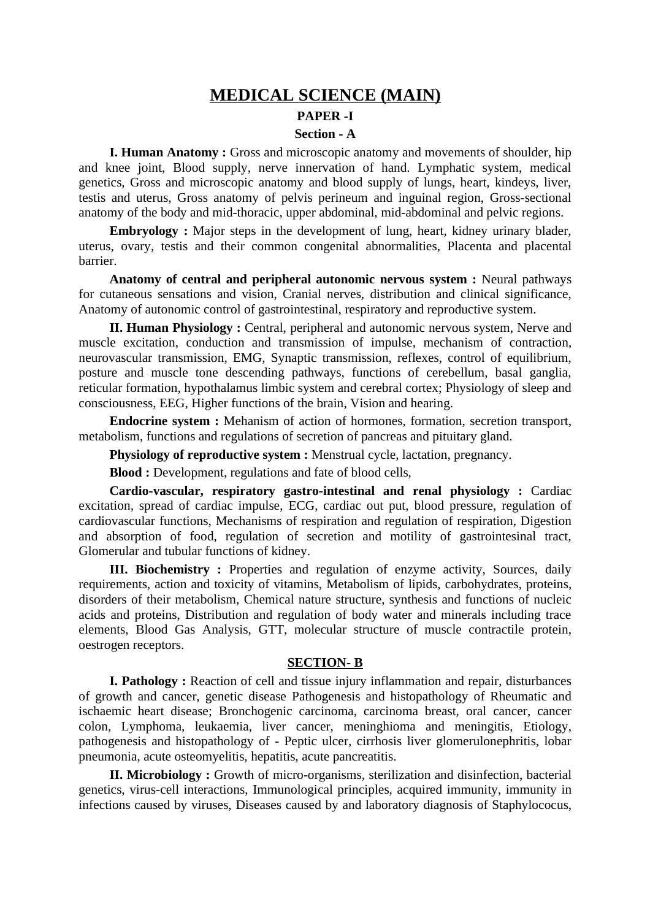# **MEDICAL SCIENCE (MAIN) PAPER -I**

## **Section - A**

**I. Human Anatomy :** Gross and microscopic anatomy and movements of shoulder, hip and knee joint, Blood supply, nerve innervation of hand. Lymphatic system, medical genetics, Gross and microscopic anatomy and blood supply of lungs, heart, kindeys, liver, testis and uterus, Gross anatomy of pelvis perineum and inguinal region, Gross-sectional anatomy of the body and mid-thoracic, upper abdominal, mid-abdominal and pelvic regions.

**Embryology :** Major steps in the development of lung, heart, kidney urinary blader, uterus, ovary, testis and their common congenital abnormalities, Placenta and placental barrier.

**Anatomy of central and peripheral autonomic nervous system :** Neural pathways for cutaneous sensations and vision, Cranial nerves, distribution and clinical significance, Anatomy of autonomic control of gastrointestinal, respiratory and reproductive system.

**II. Human Physiology :** Central, peripheral and autonomic nervous system, Nerve and muscle excitation, conduction and transmission of impulse, mechanism of contraction, neurovascular transmission, EMG, Synaptic transmission, reflexes, control of equilibrium, posture and muscle tone descending pathways, functions of cerebellum, basal ganglia, reticular formation, hypothalamus limbic system and cerebral cortex; Physiology of sleep and consciousness, EEG, Higher functions of the brain, Vision and hearing.

**Endocrine system :** Mehanism of action of hormones, formation, secretion transport, metabolism, functions and regulations of secretion of pancreas and pituitary gland.

**Physiology of reproductive system :** Menstrual cycle, lactation, pregnancy.

**Blood :** Development, regulations and fate of blood cells,

**Cardio-vascular, respiratory gastro-intestinal and renal physiology :** Cardiac excitation, spread of cardiac impulse, ECG, cardiac out put, blood pressure, regulation of cardiovascular functions, Mechanisms of respiration and regulation of respiration, Digestion and absorption of food, regulation of secretion and motility of gastrointesinal tract, Glomerular and tubular functions of kidney.

**III. Biochemistry :** Properties and regulation of enzyme activity, Sources, daily requirements, action and toxicity of vitamins, Metabolism of lipids, carbohydrates, proteins, disorders of their metabolism, Chemical nature structure, synthesis and functions of nucleic acids and proteins, Distribution and regulation of body water and minerals including trace elements, Blood Gas Analysis, GTT, molecular structure of muscle contractile protein, oestrogen receptors.

### **SECTION- B**

**I. Pathology :** Reaction of cell and tissue injury inflammation and repair, disturbances of growth and cancer, genetic disease Pathogenesis and histopathology of Rheumatic and ischaemic heart disease; Bronchogenic carcinoma, carcinoma breast, oral cancer, cancer colon, Lymphoma, leukaemia, liver cancer, meninghioma and meningitis, Etiology, pathogenesis and histopathology of - Peptic ulcer, cirrhosis liver glomerulonephritis, lobar pneumonia, acute osteomyelitis, hepatitis, acute pancreatitis.

**II. Microbiology :** Growth of micro-organisms, sterilization and disinfection, bacterial genetics, virus-cell interactions, Immunological principles, acquired immunity, immunity in infections caused by viruses, Diseases caused by and laboratory diagnosis of Staphylococus,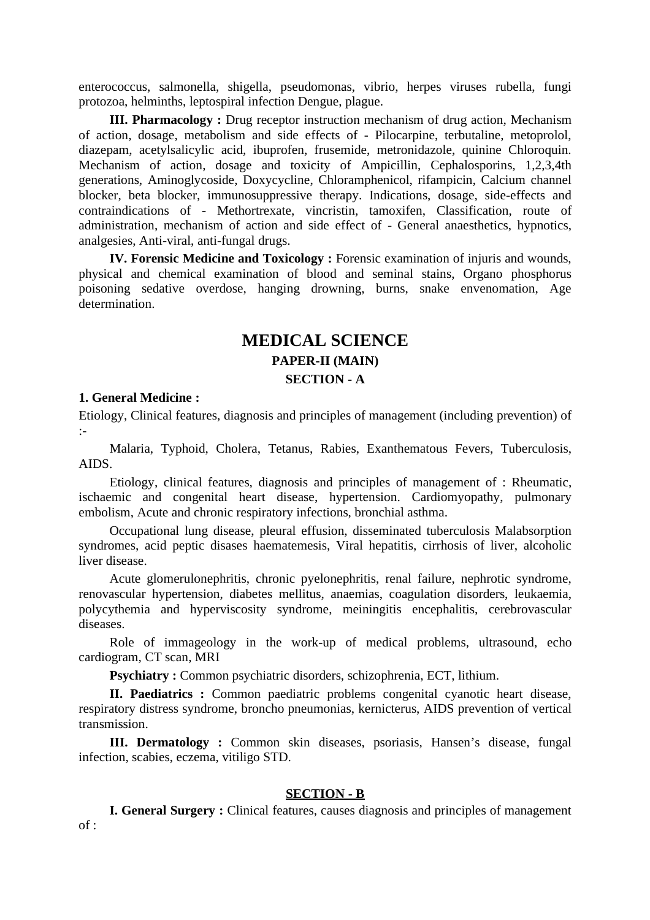enterococcus, salmonella, shigella, pseudomonas, vibrio, herpes viruses rubella, fungi protozoa, helminths, leptospiral infection Dengue, plague.

**III. Pharmacology :** Drug receptor instruction mechanism of drug action, Mechanism of action, dosage, metabolism and side effects of - Pilocarpine, terbutaline, metoprolol, diazepam, acetylsalicylic acid, ibuprofen, frusemide, metronidazole, quinine Chloroquin. Mechanism of action, dosage and toxicity of Ampicillin, Cephalosporins, 1,2,3,4th generations, Aminoglycoside, Doxycycline, Chloramphenicol, rifampicin, Calcium channel blocker, beta blocker, immunosuppressive therapy. Indications, dosage, side-effects and contraindications of - Methortrexate, vincristin, tamoxifen, Classification, route of administration, mechanism of action and side effect of - General anaesthetics, hypnotics, analgesies, Anti-viral, anti-fungal drugs.

**IV. Forensic Medicine and Toxicology :** Forensic examination of injuris and wounds, physical and chemical examination of blood and seminal stains, Organo phosphorus poisoning sedative overdose, hanging drowning, burns, snake envenomation, Age determination.

# **MEDICAL SCIENCE PAPER-II (MAIN) SECTION - A**

#### **1. General Medicine :**

Etiology, Clinical features, diagnosis and principles of management (including prevention) of :-

Malaria, Typhoid, Cholera, Tetanus, Rabies, Exanthematous Fevers, Tuberculosis, AIDS.

Etiology, clinical features, diagnosis and principles of management of : Rheumatic, ischaemic and congenital heart disease, hypertension. Cardiomyopathy, pulmonary embolism, Acute and chronic respiratory infections, bronchial asthma.

Occupational lung disease, pleural effusion, disseminated tuberculosis Malabsorption syndromes, acid peptic disases haematemesis, Viral hepatitis, cirrhosis of liver, alcoholic liver disease.

Acute glomerulonephritis, chronic pyelonephritis, renal failure, nephrotic syndrome, renovascular hypertension, diabetes mellitus, anaemias, coagulation disorders, leukaemia, polycythemia and hyperviscosity syndrome, meiningitis encephalitis, cerebrovascular diseases.

Role of immageology in the work-up of medical problems, ultrasound, echo cardiogram, CT scan, MRI

**Psychiatry :** Common psychiatric disorders, schizophrenia, ECT, lithium.

**II. Paediatrics :** Common paediatric problems congenital cyanotic heart disease, respiratory distress syndrome, broncho pneumonias, kernicterus, AIDS prevention of vertical transmission.

**III. Dermatology :** Common skin diseases, psoriasis, Hansen's disease, fungal infection, scabies, eczema, vitiligo STD.

### **SECTION - B**

**I. General Surgery :** Clinical features, causes diagnosis and principles of management of :